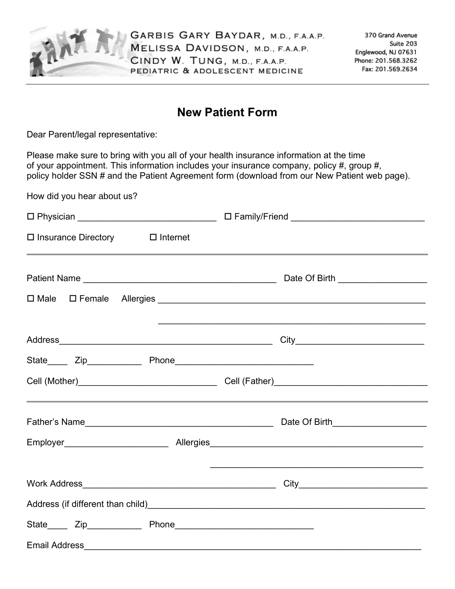

GARBIS GARY BAYDAR, M.D., F.A.A.P. MELISSA DAVIDSON, M.D., F.A.A.P. CINDY W. TUNG, M.D., F.A.A.P. PEDIATRIC & ADOLESCENT MEDICINE

## **New Patient Form**

Dear Parent/legal representative:

How did you hear about us?

Please make sure to bring with you all of your health insurance information at the time of your appointment. This information includes your insurance company, policy #, group #, policy holder SSN # and the Patient Agreement form (download from our New Patient web page).

 Physician \_\_\_\_\_\_\_\_\_\_\_\_\_\_\_\_\_\_\_\_\_\_\_\_\_\_\_\_ Family/Friend \_\_\_\_\_\_\_\_\_\_\_\_\_\_\_\_\_\_\_\_\_\_\_\_\_\_\_  $\square$  Insurance Directory  $\square$  Internet Patient Name \_\_\_\_\_\_\_\_\_\_\_\_\_\_\_\_\_\_\_\_\_\_\_\_\_\_\_\_\_\_\_\_\_\_\_\_\_\_\_ Date Of Birth \_\_\_\_\_\_\_\_\_\_\_\_\_\_\_\_\_\_  $\square$  Male  $\square$  Female Allergies  $\square$  $\mathcal{L}_\text{max}$  , and the contract of the contract of the contract of the contract of the contract of the contract of the contract of the contract of the contract of the contract of the contract of the contract of the contr Address\_\_\_\_\_\_\_\_\_\_\_\_\_\_\_\_\_\_\_\_\_\_\_\_\_\_\_\_\_\_\_\_\_\_\_\_\_\_\_\_\_\_\_ City\_\_\_\_\_\_\_\_\_\_\_\_\_\_\_\_\_\_\_\_\_\_\_\_\_\_ State\_\_\_\_ Zip\_\_\_\_\_\_\_\_\_\_\_ Phone\_\_\_\_\_\_\_\_\_\_\_\_\_\_\_\_\_\_\_\_\_\_\_\_\_\_\_\_ Cell (Mother)\_\_\_\_\_\_\_\_\_\_\_\_\_\_\_\_\_\_\_\_\_\_\_\_\_\_\_\_ Cell (Father)\_\_\_\_\_\_\_\_\_\_\_\_\_\_\_\_\_\_\_\_\_\_\_\_\_\_\_\_\_\_\_ Father's Name\_\_\_\_\_\_\_\_\_\_\_\_\_\_\_\_\_\_\_\_\_\_\_\_\_\_\_\_\_\_\_\_\_\_\_\_\_\_ Date Of Birth\_\_\_\_\_\_\_\_\_\_\_\_\_\_\_\_\_\_\_ Employer\_\_\_\_\_\_\_\_\_\_\_\_\_\_\_\_\_\_\_\_\_ Allergies\_\_\_\_\_\_\_\_\_\_\_\_\_\_\_\_\_\_\_\_\_\_\_\_\_\_\_\_\_\_\_\_\_\_\_\_\_\_\_\_\_\_\_ \_\_\_\_\_\_\_\_\_\_\_\_\_\_\_\_\_\_\_\_\_\_\_\_\_\_\_\_\_\_\_\_\_\_\_\_\_\_\_\_\_\_\_ Work Address\_\_\_\_\_\_\_\_\_\_\_\_\_\_\_\_\_\_\_\_\_\_\_\_\_\_\_\_\_\_\_\_\_\_\_\_\_\_\_ City\_\_\_\_\_\_\_\_\_\_\_\_\_\_\_\_\_\_\_\_\_\_\_\_\_\_ Address (if different than child) and the state of the state of the state of the state of the state of the state of the state of the state of the state of the state of the state of the state of the state of the state of th State Zip Phone Email Address\_\_\_\_\_\_\_\_\_\_\_\_\_\_\_\_\_\_\_\_\_\_\_\_\_\_\_\_\_\_\_\_\_\_\_\_\_\_\_\_\_\_\_\_\_\_\_\_\_\_\_\_\_\_\_\_\_\_\_\_\_\_\_\_\_\_\_\_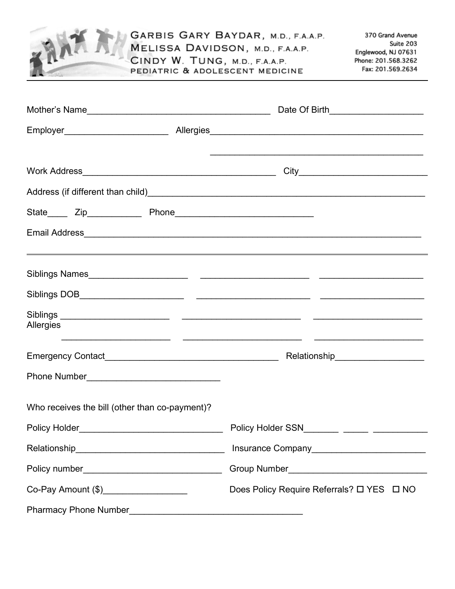|                                                                                                                                   | GARBIS GARY BAYDAR, M.D., F.A.A.P.<br>MELISSA DAVIDSON, M.D., F.A.A.P.<br>CINDY W. TUNG, M.D., F.A.A.P.<br>PEDIATRIC & ADOLESCENT MEDICINE | 370 Grand Avenue<br>Suite 203<br>Englewood, NJ 07631<br>Phone: 201.568.3262<br>Fax: 201.569.2634 |
|-----------------------------------------------------------------------------------------------------------------------------------|--------------------------------------------------------------------------------------------------------------------------------------------|--------------------------------------------------------------------------------------------------|
|                                                                                                                                   |                                                                                                                                            |                                                                                                  |
|                                                                                                                                   |                                                                                                                                            |                                                                                                  |
|                                                                                                                                   | Employer__________________________________Allergies_____________________________                                                           |                                                                                                  |
|                                                                                                                                   |                                                                                                                                            |                                                                                                  |
|                                                                                                                                   |                                                                                                                                            |                                                                                                  |
|                                                                                                                                   |                                                                                                                                            |                                                                                                  |
|                                                                                                                                   |                                                                                                                                            |                                                                                                  |
|                                                                                                                                   |                                                                                                                                            |                                                                                                  |
|                                                                                                                                   |                                                                                                                                            |                                                                                                  |
| Allergies<br><u> 1989 - Jan Barat, martin da basar a shekara tsara tsara tsara tsara tsara tsara tsara tsara tsara tsara tsar</u> |                                                                                                                                            |                                                                                                  |
| Emergency Contact_____                                                                                                            | Relationship                                                                                                                               |                                                                                                  |
|                                                                                                                                   |                                                                                                                                            |                                                                                                  |
| Who receives the bill (other than co-payment)?                                                                                    |                                                                                                                                            |                                                                                                  |
| Policy Holder___________________________________                                                                                  |                                                                                                                                            |                                                                                                  |
|                                                                                                                                   |                                                                                                                                            |                                                                                                  |
| Policy number___________________________________                                                                                  |                                                                                                                                            |                                                                                                  |
| Co-Pay Amount (\$)____________________                                                                                            |                                                                                                                                            |                                                                                                  |
|                                                                                                                                   |                                                                                                                                            |                                                                                                  |